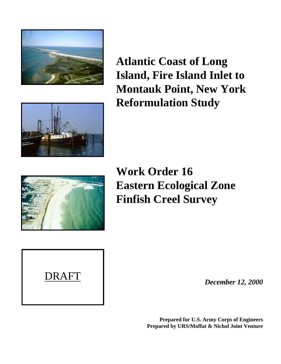



**Atlantic Coast of Long Island, Fire Island Inlet to Montauk Point, New York Reformulation Study**



**Work Order 16 Eastern Ecological Zone Finfish Creel Survey**

*December 12, 2000*

**Prepared for U.S. Army Corps of Engineers Prepared by URS/Moffat & Nichol Joint Venture**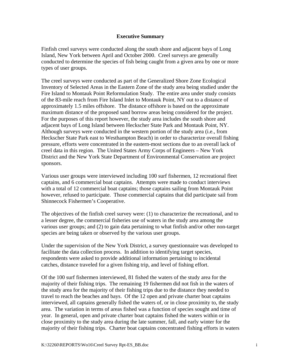### **Executive Summary**

Finfish creel surveys were conducted along the south shore and adjacent bays of Long Island, New York between April and October 2000. Creel surveys are generally conducted to determine the species of fish being caught from a given area by one or more types of user groups.

The creel surveys were conducted as part of the Generalized Shore Zone Ecological Inventory of Selected Areas in the Eastern Zone of the study area being studied under the Fire Island to Montauk Point Reformulation Study. The entire area under study consists of the 83-mile reach from Fire Island Inlet to Montauk Point, NY out to a distance of approximately 1.5 miles offshore. The distance offshore is based on the approximate maximum distance of the proposed sand borrow areas being considered for the project. For the purposes of this report however, the study area includes the south shore and adjacent bays of Long Island between Heckscher State Park and Montauk Point, NY. Although surveys were conducted in the western portion of the study area (i.e., from Heckscher State Park east to Westhampton Beach) in order to characterize overall fishing pressure, efforts were concentrated in the eastern-most sections due to an overall lack of creel data in this region. The United States Army Corps of Engineers – New York District and the New York State Department of Environmental Conservation are project sponsors.

Various user groups were interviewed including 100 surf fishermen, 12 recreational fleet captains, and 6 commercial boat captains. Attempts were made to conduct interviews with a total of 12 commercial boat captains; those captains sailing from Montauk Point however, refused to participate. Those commercial captains that did participate sail from Shinnecock Fishermen's Cooperative.

The objectives of the finfish creel survey were: (1) to characterize the recreational, and to a lesser degree, the commercial fisheries use of waters in the study area among the various user groups; and (2) to gain data pertaining to what finfish and/or other non-target species are being taken or observed by the various user groups.

Under the supervision of the New York District, a survey questionnaire was developed to facilitate the data collection process. In addition to identifying target species, respondents were asked to provide additional information pertaining to incidental catches, distance traveled for a given fishing trip, and level of fishing effort.

Of the 100 surf fishermen interviewed, 81 fished the waters of the study area for the majority of their fishing trips. The remaining 19 fishermen did not fish in the waters of the study area for the majority of their fishing trips due to the distance they needed to travel to reach the beaches and bays. Of the 12 open and private charter boat captains interviewed, all captains generally fished the waters of, or in close proximity to, the study area. The variation in terms of areas fished was a function of species sought and time of year. In general, open and private charter boat captains fished the waters within or in close proximity to the study area during the late summer, fall, and early winter for the majority of their fishing trips. Charter boat captains concentrated fishing efforts in waters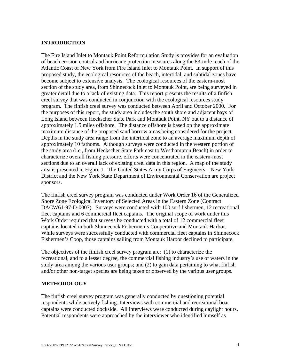### **INTRODUCTION**

The Fire Island Inlet to Montauk Point Reformulation Study is provides for an evaluation of beach erosion control and hurricane protection measures along the 83-mile reach of the Atlantic Coast of New York from Fire Island Inlet to Montauk Point. In support of this proposed study, the ecological resources of the beach, intertidal, and subtidal zones have become subject to extensive analysis. The ecological resources of the eastern-most section of the study area, from Shinnecock Inlet to Montauk Point, are being surveyed in greater detail due to a lack of existing data. This report presents the results of a finfish creel survey that was conducted in conjunction with the ecological resources study program. The finfish creel survey was conducted between April and October 2000. For the purposes of this report, the study area includes the south shore and adjacent bays of Long Island between Heckscher State Park and Montauk Point, NY out to a distance of approximately 1.5 miles offshore. The distance offshore is based on the approximate maximum distance of the proposed sand borrow areas being considered for the project. Depths in the study area range from the intertidal zone to an average maximum depth of approximately 10 fathoms. Although surveys were conducted in the western portion of the study area (i.e., from Heckscher State Park east to Westhampton Beach) in order to characterize overall fishing pressure, efforts were concentrated in the eastern-most sections due to an overall lack of existing creel data in this region. A map of the study area is presented in Figure 1. The United States Army Corps of Engineers – New York District and the New York State Department of Environmental Conservation are project sponsors.

The finfish creel survey program was conducted under Work Order 16 of the Generalized Shore Zone Ecological Inventory of Selected Areas in the Eastern Zone (Contract DACW61-97-D-0007). Surveys were conducted with 100 surf fishermen, 12 recreational fleet captains and 6 commercial fleet captains. The original scope of work under this Work Order required that surveys be conducted with a total of 12 commercial fleet captains located in both Shinnecock Fishermen's Cooperative and Montauk Harbor. While surveys were successfully conducted with commercial fleet captains in Shinnecock Fishermen's Coop, those captains sailing from Montauk Harbor declined to participate.

The objectives of the finfish creel survey program are: (1) to characterize the recreational, and to a lesser degree, the commercial fishing industry's use of waters in the study area among the various user groups; and (2) to gain data pertaining to what finfish and/or other non-target species are being taken or observed by the various user groups.

### **METHODOLOGY**

The finfish creel survey program was generally conducted by questioning potential respondents while actively fishing. Interviews with commercial and recreational boat captains were conducted dockside. All interviews were conducted during daylight hours. Potential respondents were approached by the interviewer who identified himself as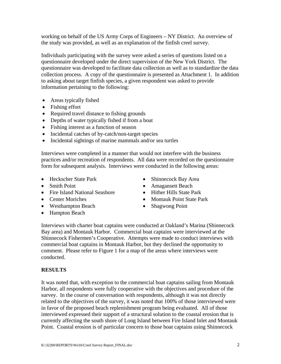working on behalf of the US Army Corps of Engineers – NY District. An overview of the study was provided, as well as an explanation of the finfish creel survey.

Individuals participating with the survey were asked a series of questions listed on a questionnaire developed under the direct supervision of the New York District. The questionnaire was developed to facilitate data collection as well as to standardize the data collection process. A copy of the questionnaire is presented as Attachment 1. In addition to asking about target finfish species, a given respondent was asked to provide information pertaining to the following:

- Areas typically fished
- Fishing effort
- Required travel distance to fishing grounds
- Depths of water typically fished if from a boat
- Fishing interest as a function of season
- Incidental catches of by-catch/non-target species
- Incidental sightings of marine mammals and/or sea turtles

Interviews were completed in a manner that would not interfere with the business practices and/or recreation of respondents. All data were recorded on the questionnaire form for subsequent analysis. Interviews were conducted in the following areas:

- 
- 
- Fire Island National Seashore Hither Hills State Park
- 
- Westhampton Beach Shagwong Point
- Hampton Beach
- Heckscher State Park Shinnecock Bay Area
- Smith Point Amagansett Beach
	-
- Center Moriches Montauk Point State Park
	-

Interviews with charter boat captains were conducted at Oakland's Marina (Shinnecock Bay area) and Montauk Harbor. Commercial boat captains were interviewed at the Shinnecock Fishermen's Cooperative. Attempts were made to conduct interviews with commercial boat captains in Montauk Harbor, but they declined the opportunity to comment. Please refer to Figure 1 for a map of the areas where interviews were conducted.

## **RESULTS**

It was noted that, with exception to the commercial boat captains sailing from Montauk Harbor, all respondents were fully cooperative with the objectives and procedure of the survey. In the course of conversation with respondents, although it was not directly related to the objectives of the survey, it was noted that 100% of those interviewed were in favor of the proposed beach replenishment program being evaluated. All of those interviewed expressed their support of a structural solution to the coastal erosion that is currently affecting the south shore of Long Island between Fire Island Inlet and Montauk Point. Coastal erosion is of particular concern to those boat captains using Shinnecock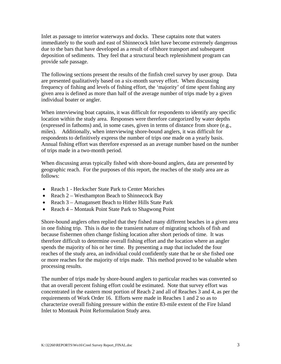Inlet as passage to interior waterways and docks. These captains note that waters immediately to the south and east of Shinnecock Inlet have become extremely dangerous due to the bars that have developed as a result of offshore transport and subsequent deposition of sediments. They feel that a structural beach replenishment program can provide safe passage.

The following sections present the results of the finfish creel survey by user group. Data are presented qualitatively based on a six-month survey effort. When discussing frequency of fishing and levels of fishing effort, the 'majority' of time spent fishing any given area is defined as more than half of the average number of trips made by a given individual boater or angler.

When interviewing boat captains, it was difficult for respondents to identify any specific location within the study area. Responses were therefore categorized by water depths (expressed in fathoms) and, in some cases, given in terms of distance from shore (e.g., miles). Additionally, when interviewing shore-bound anglers, it was difficult for respondents to definitively express the number of trips one made on a yearly basis. Annual fishing effort was therefore expressed as an average number based on the number of trips made in a two-month period.

When discussing areas typically fished with shore-bound anglers, data are presented by geographic reach. For the purposes of this report, the reaches of the study area are as follows:

- Reach 1 Heckscher State Park to Center Moriches
- Reach 2 Westhampton Beach to Shinnecock Bay
- Reach 3 Amagansett Beach to Hither Hills State Park
- Reach 4 Montauk Point State Park to Shagwong Point

Shore-bound anglers often replied that they fished many different beaches in a given area in one fishing trip. This is due to the transient nature of migrating schools of fish and because fishermen often change fishing location after short periods of time. It was therefore difficult to determine overall fishing effort and the location where an angler spends the majority of his or her time. By presenting a map that included the four reaches of the study area, an individual could confidently state that he or she fished one or more reaches for the majority of trips made. This method proved to be valuable when processing results.

The number of trips made by shore-bound anglers to particular reaches was converted so that an overall percent fishing effort could be estimated. Note that survey effort was concentrated in the eastern most portion of Reach 2 and all of Reaches 3 and 4, as per the requirements of Work Order 16. Efforts were made in Reaches 1 and 2 so as to characterize overall fishing pressure within the entire 83-mile extent of the Fire Island Inlet to Montauk Point Reformulation Study area.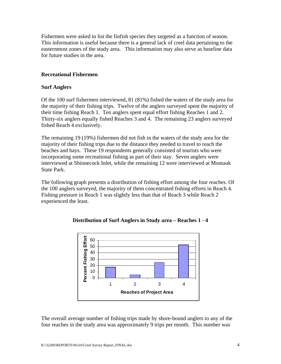Fishermen were asked to list the finfish species they targeted as a function of season. This information is useful because there is a general lack of creel data pertaining to the easternmost zones of the study area. This information may also serve as baseline data for future studies in the area.

### **Recreational Fishermen**

#### **Surf Anglers**

Of the 100 surf fishermen interviewed, 81 (81%) fished the waters of the study area for the majority of their fishing trips. Twelve of the anglers surveyed spent the majority of their time fishing Reach 1. Ten anglers spent equal effort fishing Reaches 1 and 2. Thirty-six anglers equally fished Reaches 3 and 4. The remaining 23 anglers surveyed fished Reach 4 exclusively.

The remaining 19 (19%) fishermen did not fish in the waters of the study area for the majority of their fishing trips due to the distance they needed to travel to reach the beaches and bays. These 19 respondents generally consisted of tourists who were incorporating some recreational fishing as part of their stay. Seven anglers were interviewed at Shinnecock Inlet, while the remaining 12 were interviewed at Montauk State Park.

The following graph presents a distribution of fishing effort among the four reaches. Of the 100 anglers surveyed, the majority of them concentrated fishing efforts in Reach 4. Fishing pressure in Reach 1 was slightly less than that of Reach 3 while Reach 2 experienced the least.



### **Distribution of Surf Anglers in Study area – Reaches 1 - 4**

The overall average number of fishing trips made by shore-bound anglers to any of the four reaches in the study area was approximately 9 trips per month. This number was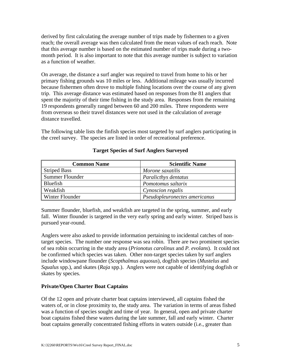derived by first calculating the average number of trips made by fishermen to a given reach; the overall average was then calculated from the mean values of each reach. Note that this average number is based on the estimated number of trips made during a twomonth period. It is also important to note that this average number is subject to variation as a function of weather.

On average, the distance a surf angler was required to travel from home to his or her primary fishing grounds was 10 miles or less. Additional mileage was usually incurred because fishermen often drove to multiple fishing locations over the course of any given trip. This average distance was estimated based on responses from the 81 anglers that spent the majority of their time fishing in the study area. Responses from the remaining 19 respondents generally ranged between 60 and 200 miles. Three respondents were from overseas so their travel distances were not used in the calculation of average distance travelled.

The following table lists the finfish species most targeted by surf anglers participating in the creel survey. The species are listed in order of recreational preference.

| <b>Common Name</b>     | <b>Scientific Name</b>        |
|------------------------|-------------------------------|
| <b>Striped Bass</b>    | Morone saxatilis              |
| Summer Flounder        | Paralicthys dentatus          |
| Bluefish               | Pomotomus saltarix            |
| Weakfish               | Cynoscion regalis             |
| <b>Winter Flounder</b> | Pseudopleuronectes americanus |

## **Target Species of Surf Anglers Surveyed**

Summer flounder, bluefish, and weakfish are targeted in the spring, summer, and early fall. Winter flounder is targeted in the very early spring and early winter. Striped bass is pursued year-round.

Anglers were also asked to provide information pertaining to incidental catches of nontarget species. The number one response was sea robin. There are two prominent species of sea robin occurring in the study area (*Prionotus carolinus* and *P. evolans*). It could not be confirmed which species was taken. Other non-target species taken by surf anglers include windowpane flounder (*Scopthalmus aquosus*), dogfish species (*Mustelus* and *Squalus* spp.), and skates (*Raja* spp.). Anglers were not capable of identifying dogfish or skates by species.

## **Private/Open Charter Boat Captains**

Of the 12 open and private charter boat captains interviewed, all captains fished the waters of, or in close proximity to, the study area. The variation in terms of areas fished was a function of species sought and time of year. In general, open and private charter boat captains fished these waters during the late summer, fall and early winter. Charter boat captains generally concentrated fishing efforts in waters outside (i.e., greater than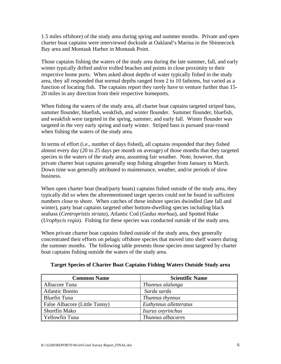1.5 miles offshore) of the study area during spring and summer months. Private and open charter boat captains were interviewed dockside at Oakland's Marina in the Shinnecock Bay area and Montauk Harbor in Montauk Point.

Those captains fishing the waters of the study area during the late summer, fall, and early winter typically drifted and/or trolled beaches and points in close proximity to their respective home ports. When asked about depths of water typically fished in the study area, they all responded that normal depths ranged from 2 to 10 fathoms, but varied as a function of locating fish. The captains report they rarely have to venture further than 15- 20 miles in any direction from their respective homeports.

When fishing the waters of the study area, all charter boat captains targeted striped bass, summer flounder, bluefish, weakfish, and winter flounder. Summer flounder, bluefish, and weakfish were targeted in the spring, summer, and early fall. Winter flounder was targeted in the very early spring and early winter. Striped bass is pursued year-round when fishing the waters of the study area.

In terms of effort (i.e., number of days fished), all captains responded that they fished almost every day (20 to 25 days per month on average) of those months that they targeted species in the waters of the study area, assuming fair weather. Note, however, that private charter boat captains generally stop fishing altogether from January to March. Down time was generally attributed to maintenance, weather, and/or periods of slow business.

When open charter boat (head/party boats) captains fished outside of the study area, they typically did so when the aforementioned target species could not be found in sufficient numbers close to shore. When catches of these inshore species dwindled (late fall and winter), party boat captains targeted other bottom-dwelling species including black seabass (*Centropristis striata*), Atlantic Cod (*Gadus morhua*), and Spotted Hake (*Urophycis regia*). Fishing for these species was conducted outside of the study area.

When private charter boat captains fished outside of the study area, they generally concentrated their efforts on pelagic offshore species that moved into shelf waters during the summer months. The following table presents those species most targeted by charter boat captains fishing outside the waters of the study area.

| <b>Common Name</b>            | <b>Scientific Name</b> |
|-------------------------------|------------------------|
| Albacore Tuna                 | Thunnus alalunga       |
| <b>Atlantic Bonito</b>        | Sarda sarda            |
| Bluefin Tuna                  | Thunnus thynnus        |
| False Albacore (Little Tunny) | Euthynnus alletteratus |
| <b>Shortfin Mako</b>          | Isurus oxyrinchus      |
| Yellowfin Tuna                | Thunnus albacares      |

### **Target Species of Charter Boat Captains Fishing Waters Outside Study area**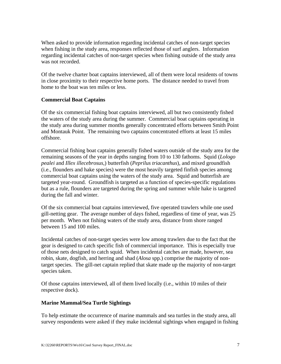When asked to provide information regarding incidental catches of non-target species when fishing in the study area, responses reflected those of surf anglers. Information regarding incidental catches of non-target species when fishing outside of the study area was not recorded.

Of the twelve charter boat captains interviewed, all of them were local residents of towns in close proximity to their respective home ports. The distance needed to travel from home to the boat was ten miles or less.

## **Commercial Boat Captains**

Of the six commercial fishing boat captains interviewed, all but two consistently fished the waters of the study area during the summer. Commercial boat captains operating in the study area during summer months generally concentrated efforts between Smith Point and Montauk Point. The remaining two captains concentrated efforts at least 15 miles offshore.

Commercial fishing boat captains generally fished waters outside of the study area for the remaining seasons of the year in depths ranging from 10 to 130 fathoms. Squid (*Lologo pealei* and *Illex illecebrosus*,) butterfish (*Peprilus triacanthus*), and mixed groundfish (i.e., flounders and hake species) were the most heavily targeted finfish species among commercial boat captains using the waters of the study area. Squid and butterfish are targeted year-round. Groundfish is targeted as a function of species-specific regulations but as a rule, flounders are targeted during the spring and summer while hake is targeted during the fall and winter.

Of the six commercial boat captains interviewed, five operated trawlers while one used gill-netting gear. The average number of days fished, regardless of time of year, was 25 per month. When not fishing waters of the study area, distance from shore ranged between 15 and 100 miles.

Incidental catches of non-target species were low among trawlers due to the fact that the gear is designed to catch specific fish of commercial importance. This is especially true of those nets designed to catch squid. When incidental catches are made, however, sea robin, skate, dogfish, and herring and shad (*Alosa* spp.) comprise the majority of nontarget species. The gill-net captain replied that skate made up the majority of non-target species taken.

Of those captains interviewed, all of them lived locally (i.e., within 10 miles of their respective dock).

### **Marine Mammal/Sea Turtle Sightings**

To help estimate the occurrence of marine mammals and sea turtles in the study area, all survey respondents were asked if they make incidental sightings when engaged in fishing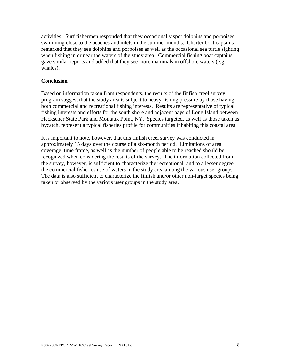activities. Surf fishermen responded that they occasionally spot dolphins and porpoises swimming close to the beaches and inlets in the summer months. Charter boat captains remarked that they see dolphins and porpoises as well as the occasional sea turtle sighting when fishing in or near the waters of the study area. Commercial fishing boat captains gave similar reports and added that they see more mammals in offshore waters (e.g., whales).

### **Conclusion**

Based on information taken from respondents, the results of the finfish creel survey program suggest that the study area is subject to heavy fishing pressure by those having both commercial and recreational fishing interests. Results are representative of typical fishing interests and efforts for the south shore and adjacent bays of Long Island between Heckscher State Park and Montauk Point, NY. Species targeted, as well as those taken as bycatch, represent a typical fisheries profile for communities inhabiting this coastal area.

It is important to note, however, that this finfish creel survey was conducted in approximately 15 days over the course of a six-month period. Limitations of area coverage, time frame, as well as the number of people able to be reached should be recognized when considering the results of the survey. The information collected from the survey, however, is sufficient to characterize the recreational, and to a lesser degree, the commercial fisheries use of waters in the study area among the various user groups. The data is also sufficient to characterize the finfish and/or other non-target species being taken or observed by the various user groups in the study area.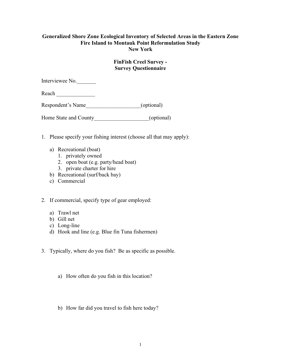### **Generalized Shore Zone Ecological Inventory of Selected Areas in the Eastern Zone Fire Island to Montauk Point Reformulation Study New York**

### **FinFish Creel Survey - Survey Questionnaire**

Interviewee No.

Reach

Respondent's Name\_\_\_\_\_\_\_\_\_\_\_\_\_\_\_\_\_\_\_\_(optional)

Home State and County\_\_\_\_\_\_\_\_\_\_\_\_\_\_\_\_\_\_\_\_\_(optional)

- 1. Please specify your fishing interest (choose all that may apply):
	- a) Recreational (boat)
		- 1. privately owned
		- 2. open boat (e.g. party/head boat)
		- 3. private charter for hire
	- b) Recreational (surf/back bay)
	- c) Commercial
- 2. If commercial, specify type of gear employed:
	- a) Trawl net
	- b) Gill net
	- c) Long-line
	- d) Hook and line (e.g. Blue fin Tuna fishermen)
- 3. Typically, where do you fish? Be as specific as possible.
	- a) How often do you fish in this location?
	- b) How far did you travel to fish here today?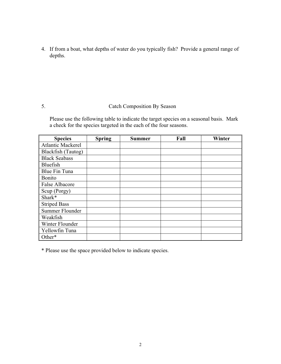4. If from a boat, what depths of water do you typically fish? Provide a general range of depths.

# 5. Catch Composition By Season

Please use the following table to indicate the target species on a seasonal basis. Mark a check for the species targeted in the each of the four seasons.

| <b>Species</b>           | <b>Spring</b> | Summer | Fall | Winter |
|--------------------------|---------------|--------|------|--------|
| <b>Atlantic Mackerel</b> |               |        |      |        |
| Blackfish (Tautog)       |               |        |      |        |
| <b>Black Seabass</b>     |               |        |      |        |
| Bluefish                 |               |        |      |        |
| Blue Fin Tuna            |               |        |      |        |
| <b>Bonito</b>            |               |        |      |        |
| <b>False Albacore</b>    |               |        |      |        |
| Scup (Porgy)             |               |        |      |        |
| Shark*                   |               |        |      |        |
| <b>Striped Bass</b>      |               |        |      |        |
| Summer Flounder          |               |        |      |        |
| Weakfish                 |               |        |      |        |
| Winter Flounder          |               |        |      |        |
| Yellowfin Tuna           |               |        |      |        |
| Other*                   |               |        |      |        |

\* Please use the space provided below to indicate species.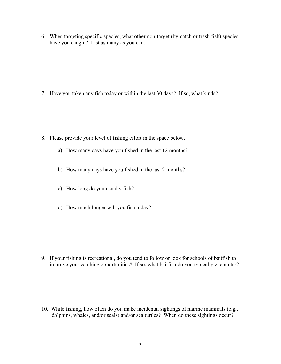6. When targeting specific species, what other non-target (by-catch or trash fish) species have you caught? List as many as you can.

7. Have you taken any fish today or within the last 30 days? If so, what kinds?

- 8. Please provide your level of fishing effort in the space below.
	- a) How many days have you fished in the last 12 months?
	- b) How many days have you fished in the last 2 months?
	- c) How long do you usually fish?
	- d) How much longer will you fish today?

9. If your fishing is recreational, do you tend to follow or look for schools of baitfish to improve your catching opportunities? If so, what baitfish do you typically encounter?

10. While fishing, how often do you make incidental sightings of marine mammals (e.g., dolphins, whales, and/or seals) and/or sea turtles? When do these sightings occur?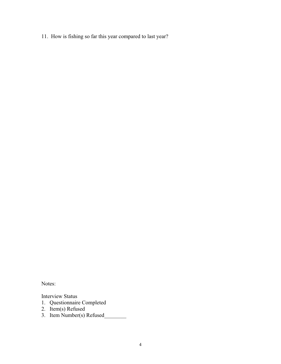11. How is fishing so far this year compared to last year?

Notes:

Interview Status

- 1. Questionnaire Completed
- 2. Item(s) Refused
- 3. Item Number(s) Refused\_\_\_\_\_\_\_\_